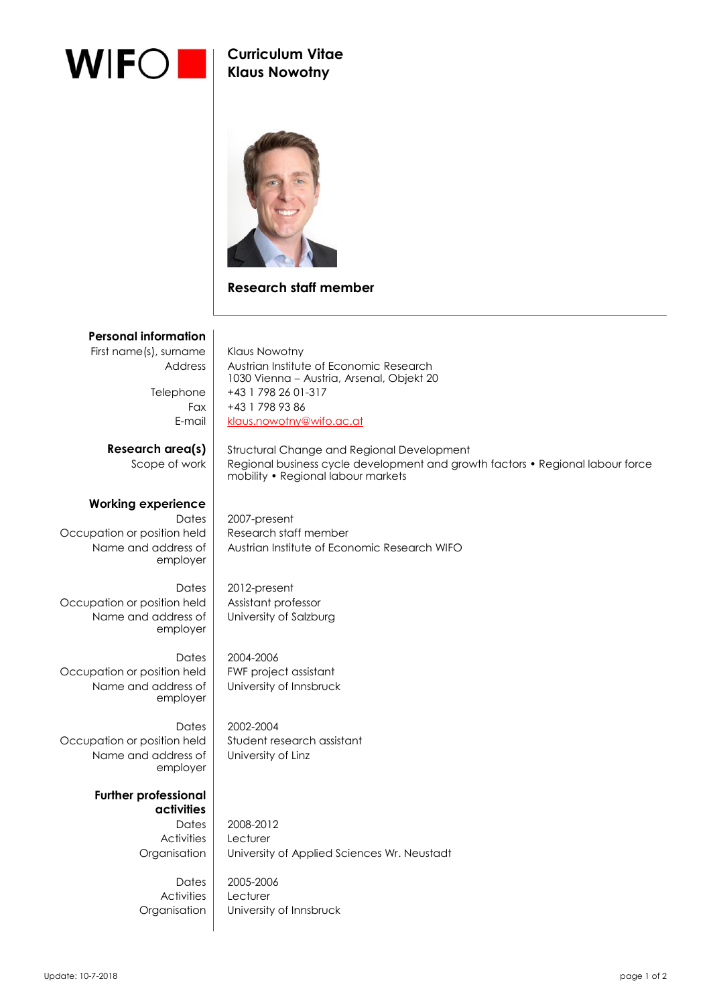

## **Curriculum Vitae Klaus Nowotny**



## **Research staff member**

## **Personal information** First name(s), surname | Klaus Nowotny Address | Austrian Institute of Economic Research 1030 Vienna - Austria, Arsenal, Objekt 20 Telephone +43 1 798 26 01-317 Fax  $+43$  1 798 93 86 E-mail [klaus.nowotny@wifo.ac.at](mailto:klaus.nowotny@wifo.ac.at) **Research area(s)** Structural Change and Regional Development Scope of work Regional business cycle development and growth factors • Regional labour force mobility • Regional labour markets **Working experience** Dates 2007-present Occupation or position held Research staff member Name and address of employer Austrian Institute of Economic Research WIFO Dates 2012-present Occupation or position held | Assistant professor Name and address of employer University of Salzburg Dates 2004-2006 Occupation or position held FWF project assistant Name and address of employer University of Innsbruck Dates 2002-2004 Occupation or position held Student research assistant Name and address of employer University of Linz **Further professional activities** Dates 2008-2012 Activities Lecturer

Activities Lecturer

Organisation University of Applied Sciences Wr. Neustadt Dates 2005-2006

Organisation | University of Innsbruck